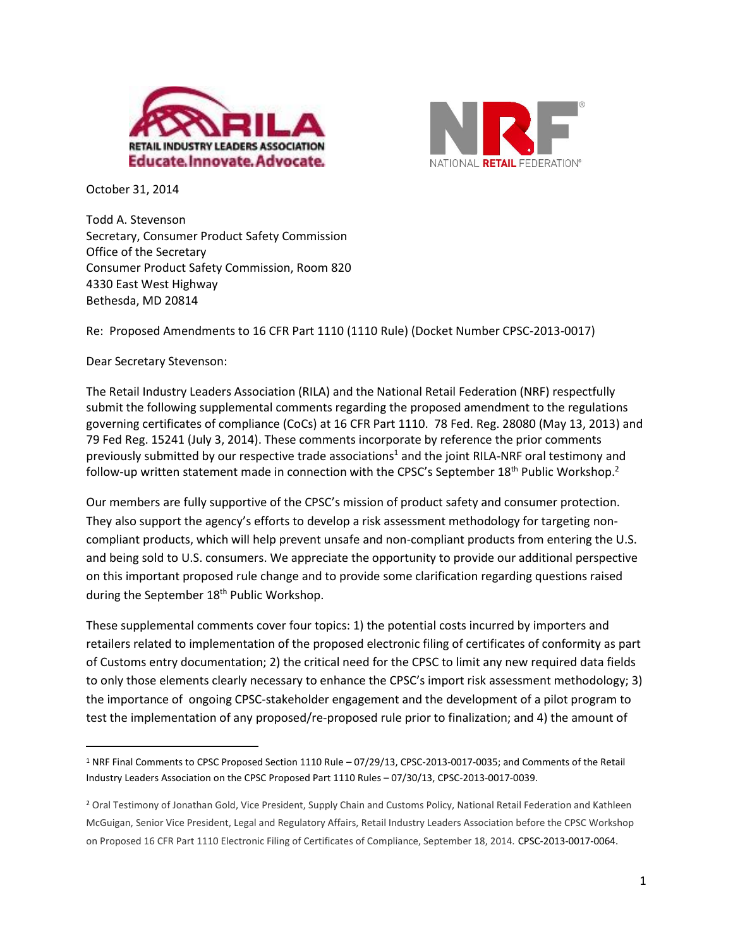



October 31, 2014

Todd A. Stevenson Secretary, Consumer Product Safety Commission Office of the Secretary Consumer Product Safety Commission, Room 820 4330 East West Highway Bethesda, MD 20814

Re: Proposed Amendments to 16 CFR Part 1110 (1110 Rule) (Docket Number CPSC-2013-0017)

Dear Secretary Stevenson:

 $\overline{\phantom{a}}$ 

The Retail Industry Leaders Association (RILA) and the National Retail Federation (NRF) respectfully submit the following supplemental comments regarding the proposed amendment to the regulations governing certificates of compliance (CoCs) at 16 CFR Part 1110. 78 Fed. Reg. 28080 (May 13, 2013) and 79 Fed Reg. 15241 (July 3, 2014). These comments incorporate by reference the prior comments previously submitted by our respective trade associations<sup>1</sup> and the joint RILA-NRF oral testimony and follow-up written statement made in connection with the CPSC's September 18<sup>th</sup> Public Workshop.<sup>2</sup>

Our members are fully supportive of the CPSC's mission of product safety and consumer protection. They also support the agency's efforts to develop a risk assessment methodology for targeting noncompliant products, which will help prevent unsafe and non-compliant products from entering the U.S. and being sold to U.S. consumers. We appreciate the opportunity to provide our additional perspective on this important proposed rule change and to provide some clarification regarding questions raised during the September 18<sup>th</sup> Public Workshop.

These supplemental comments cover four topics: 1) the potential costs incurred by importers and retailers related to implementation of the proposed electronic filing of certificates of conformity as part of Customs entry documentation; 2) the critical need for the CPSC to limit any new required data fields to only those elements clearly necessary to enhance the CPSC's import risk assessment methodology; 3) the importance of ongoing CPSC-stakeholder engagement and the development of a pilot program to test the implementation of any proposed/re-proposed rule prior to finalization; and 4) the amount of

<sup>1</sup> NRF Final Comments to CPSC Proposed Section 1110 Rule – 07/29/13, CPSC-2013-0017-0035; and Comments of the Retail Industry Leaders Association on the CPSC Proposed Part 1110 Rules – 07/30/13, CPSC-2013-0017-0039.

<sup>2</sup> Oral Testimony of Jonathan Gold, Vice President, Supply Chain and Customs Policy, National Retail Federation and Kathleen McGuigan, Senior Vice President, Legal and Regulatory Affairs, Retail Industry Leaders Association before the CPSC Workshop on Proposed 16 CFR Part 1110 Electronic Filing of Certificates of Compliance, September 18, 2014. CPSC-2013-0017-0064.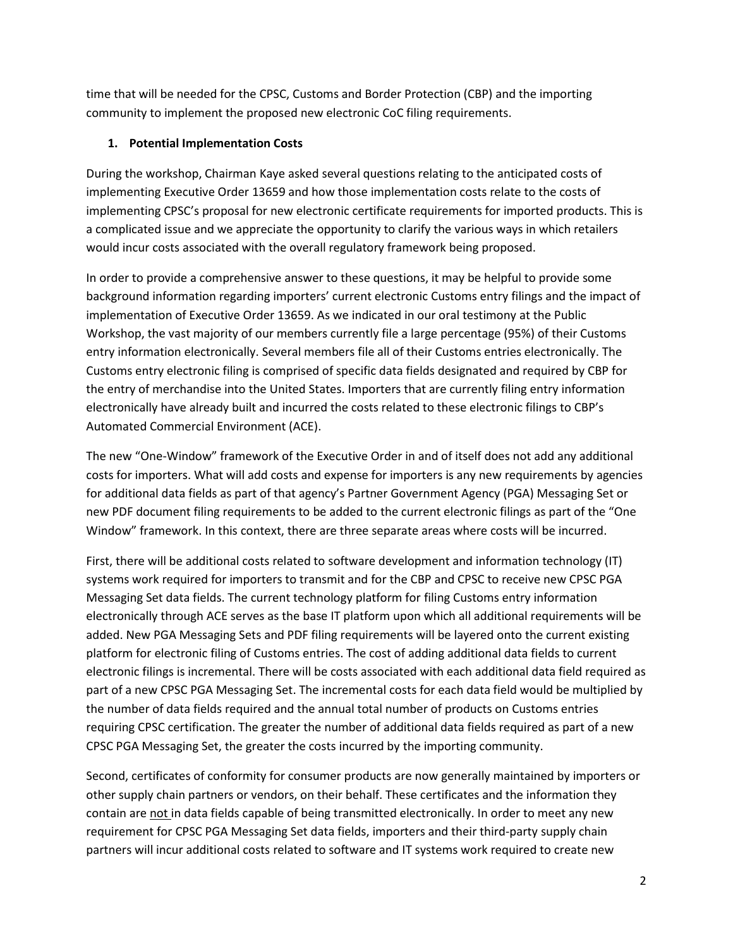time that will be needed for the CPSC, Customs and Border Protection (CBP) and the importing community to implement the proposed new electronic CoC filing requirements.

# **1. Potential Implementation Costs**

During the workshop, Chairman Kaye asked several questions relating to the anticipated costs of implementing Executive Order 13659 and how those implementation costs relate to the costs of implementing CPSC's proposal for new electronic certificate requirements for imported products. This is a complicated issue and we appreciate the opportunity to clarify the various ways in which retailers would incur costs associated with the overall regulatory framework being proposed.

In order to provide a comprehensive answer to these questions, it may be helpful to provide some background information regarding importers' current electronic Customs entry filings and the impact of implementation of Executive Order 13659. As we indicated in our oral testimony at the Public Workshop, the vast majority of our members currently file a large percentage (95%) of their Customs entry information electronically. Several members file all of their Customs entries electronically. The Customs entry electronic filing is comprised of specific data fields designated and required by CBP for the entry of merchandise into the United States. Importers that are currently filing entry information electronically have already built and incurred the costs related to these electronic filings to CBP's Automated Commercial Environment (ACE).

The new "One-Window" framework of the Executive Order in and of itself does not add any additional costs for importers. What will add costs and expense for importers is any new requirements by agencies for additional data fields as part of that agency's Partner Government Agency (PGA) Messaging Set or new PDF document filing requirements to be added to the current electronic filings as part of the "One Window" framework. In this context, there are three separate areas where costs will be incurred.

First, there will be additional costs related to software development and information technology (IT) systems work required for importers to transmit and for the CBP and CPSC to receive new CPSC PGA Messaging Set data fields. The current technology platform for filing Customs entry information electronically through ACE serves as the base IT platform upon which all additional requirements will be added. New PGA Messaging Sets and PDF filing requirements will be layered onto the current existing platform for electronic filing of Customs entries. The cost of adding additional data fields to current electronic filings is incremental. There will be costs associated with each additional data field required as part of a new CPSC PGA Messaging Set. The incremental costs for each data field would be multiplied by the number of data fields required and the annual total number of products on Customs entries requiring CPSC certification. The greater the number of additional data fields required as part of a new CPSC PGA Messaging Set, the greater the costs incurred by the importing community.

Second, certificates of conformity for consumer products are now generally maintained by importers or other supply chain partners or vendors, on their behalf. These certificates and the information they contain are not in data fields capable of being transmitted electronically. In order to meet any new requirement for CPSC PGA Messaging Set data fields, importers and their third-party supply chain partners will incur additional costs related to software and IT systems work required to create new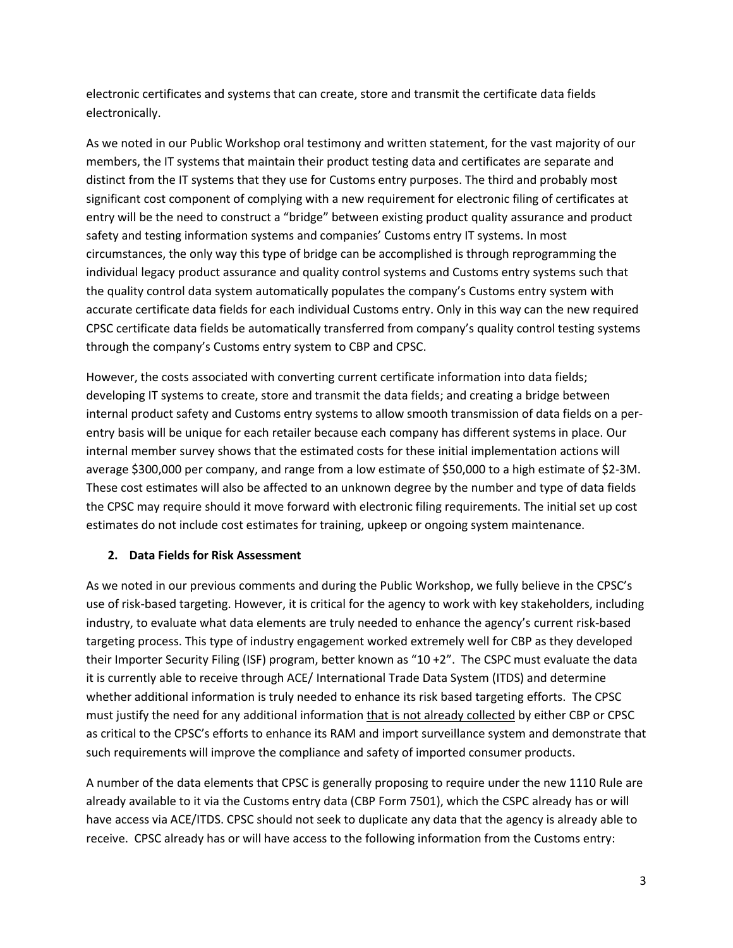electronic certificates and systems that can create, store and transmit the certificate data fields electronically.

As we noted in our Public Workshop oral testimony and written statement, for the vast majority of our members, the IT systems that maintain their product testing data and certificates are separate and distinct from the IT systems that they use for Customs entry purposes. The third and probably most significant cost component of complying with a new requirement for electronic filing of certificates at entry will be the need to construct a "bridge" between existing product quality assurance and product safety and testing information systems and companies' Customs entry IT systems. In most circumstances, the only way this type of bridge can be accomplished is through reprogramming the individual legacy product assurance and quality control systems and Customs entry systems such that the quality control data system automatically populates the company's Customs entry system with accurate certificate data fields for each individual Customs entry. Only in this way can the new required CPSC certificate data fields be automatically transferred from company's quality control testing systems through the company's Customs entry system to CBP and CPSC.

However, the costs associated with converting current certificate information into data fields; developing IT systems to create, store and transmit the data fields; and creating a bridge between internal product safety and Customs entry systems to allow smooth transmission of data fields on a perentry basis will be unique for each retailer because each company has different systems in place. Our internal member survey shows that the estimated costs for these initial implementation actions will average \$300,000 per company, and range from a low estimate of \$50,000 to a high estimate of \$2-3M. These cost estimates will also be affected to an unknown degree by the number and type of data fields the CPSC may require should it move forward with electronic filing requirements. The initial set up cost estimates do not include cost estimates for training, upkeep or ongoing system maintenance.

## **2. Data Fields for Risk Assessment**

As we noted in our previous comments and during the Public Workshop, we fully believe in the CPSC's use of risk-based targeting. However, it is critical for the agency to work with key stakeholders, including industry, to evaluate what data elements are truly needed to enhance the agency's current risk-based targeting process. This type of industry engagement worked extremely well for CBP as they developed their Importer Security Filing (ISF) program, better known as "10 +2". The CSPC must evaluate the data it is currently able to receive through ACE/ International Trade Data System (ITDS) and determine whether additional information is truly needed to enhance its risk based targeting efforts. The CPSC must justify the need for any additional information that is not already collected by either CBP or CPSC as critical to the CPSC's efforts to enhance its RAM and import surveillance system and demonstrate that such requirements will improve the compliance and safety of imported consumer products.

A number of the data elements that CPSC is generally proposing to require under the new 1110 Rule are already available to it via the Customs entry data (CBP Form 7501), which the CSPC already has or will have access via ACE/ITDS. CPSC should not seek to duplicate any data that the agency is already able to receive. CPSC already has or will have access to the following information from the Customs entry: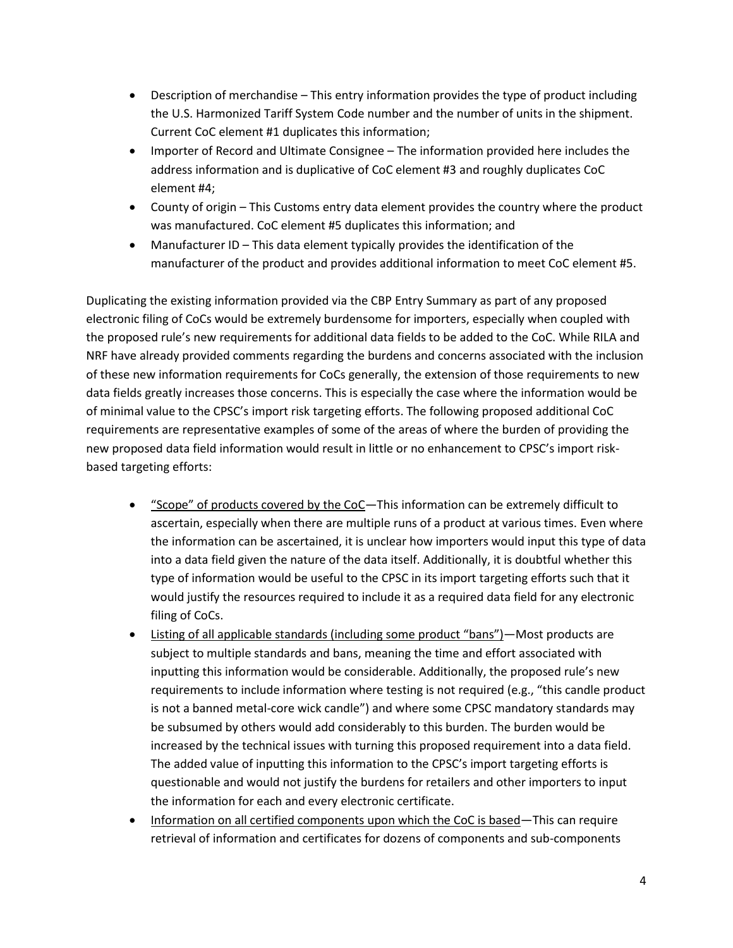- Description of merchandise This entry information provides the type of product including the U.S. Harmonized Tariff System Code number and the number of units in the shipment. Current CoC element #1 duplicates this information;
- Importer of Record and Ultimate Consignee The information provided here includes the address information and is duplicative of CoC element #3 and roughly duplicates CoC element #4;
- County of origin This Customs entry data element provides the country where the product was manufactured. CoC element #5 duplicates this information; and
- Manufacturer ID This data element typically provides the identification of the manufacturer of the product and provides additional information to meet CoC element #5.

Duplicating the existing information provided via the CBP Entry Summary as part of any proposed electronic filing of CoCs would be extremely burdensome for importers, especially when coupled with the proposed rule's new requirements for additional data fields to be added to the CoC. While RILA and NRF have already provided comments regarding the burdens and concerns associated with the inclusion of these new information requirements for CoCs generally, the extension of those requirements to new data fields greatly increases those concerns. This is especially the case where the information would be of minimal value to the CPSC's import risk targeting efforts. The following proposed additional CoC requirements are representative examples of some of the areas of where the burden of providing the new proposed data field information would result in little or no enhancement to CPSC's import riskbased targeting efforts:

- "Scope" of products covered by the CoC—This information can be extremely difficult to ascertain, especially when there are multiple runs of a product at various times. Even where the information can be ascertained, it is unclear how importers would input this type of data into a data field given the nature of the data itself. Additionally, it is doubtful whether this type of information would be useful to the CPSC in its import targeting efforts such that it would justify the resources required to include it as a required data field for any electronic filing of CoCs.
- Listing of all applicable standards (including some product "bans")—Most products are subject to multiple standards and bans, meaning the time and effort associated with inputting this information would be considerable. Additionally, the proposed rule's new requirements to include information where testing is not required (e.g., "this candle product is not a banned metal-core wick candle") and where some CPSC mandatory standards may be subsumed by others would add considerably to this burden. The burden would be increased by the technical issues with turning this proposed requirement into a data field. The added value of inputting this information to the CPSC's import targeting efforts is questionable and would not justify the burdens for retailers and other importers to input the information for each and every electronic certificate.
- Information on all certified components upon which the CoC is based—This can require retrieval of information and certificates for dozens of components and sub-components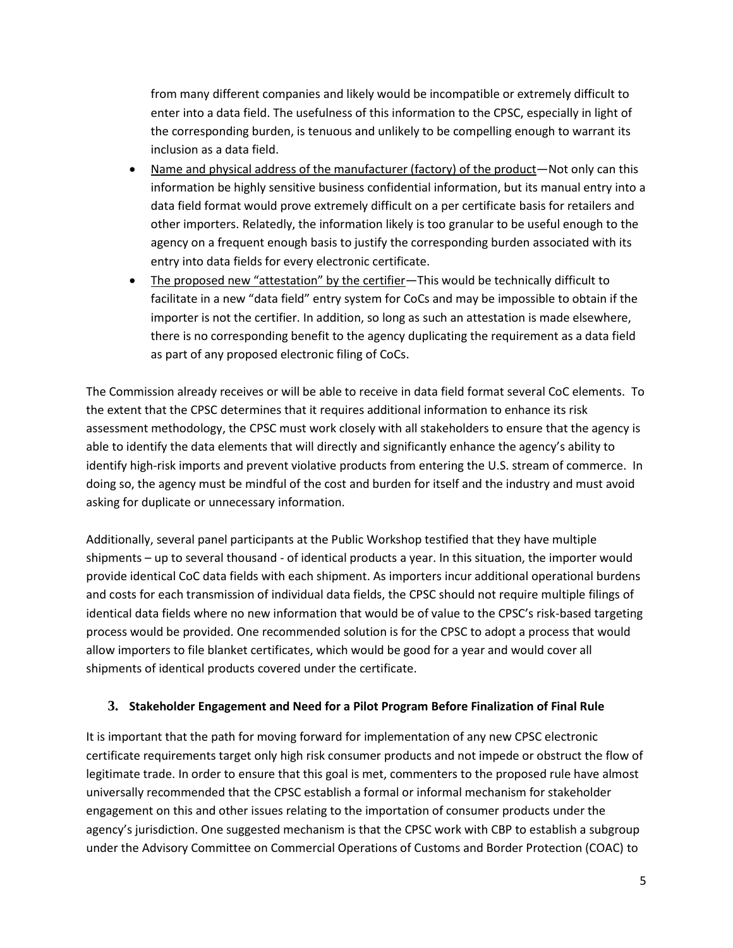from many different companies and likely would be incompatible or extremely difficult to enter into a data field. The usefulness of this information to the CPSC, especially in light of the corresponding burden, is tenuous and unlikely to be compelling enough to warrant its inclusion as a data field.

- Name and physical address of the manufacturer (factory) of the product—Not only can this information be highly sensitive business confidential information, but its manual entry into a data field format would prove extremely difficult on a per certificate basis for retailers and other importers. Relatedly, the information likely is too granular to be useful enough to the agency on a frequent enough basis to justify the corresponding burden associated with its entry into data fields for every electronic certificate.
- The proposed new "attestation" by the certifier—This would be technically difficult to facilitate in a new "data field" entry system for CoCs and may be impossible to obtain if the importer is not the certifier. In addition, so long as such an attestation is made elsewhere, there is no corresponding benefit to the agency duplicating the requirement as a data field as part of any proposed electronic filing of CoCs.

The Commission already receives or will be able to receive in data field format several CoC elements. To the extent that the CPSC determines that it requires additional information to enhance its risk assessment methodology, the CPSC must work closely with all stakeholders to ensure that the agency is able to identify the data elements that will directly and significantly enhance the agency's ability to identify high-risk imports and prevent violative products from entering the U.S. stream of commerce. In doing so, the agency must be mindful of the cost and burden for itself and the industry and must avoid asking for duplicate or unnecessary information.

Additionally, several panel participants at the Public Workshop testified that they have multiple shipments – up to several thousand - of identical products a year. In this situation, the importer would provide identical CoC data fields with each shipment. As importers incur additional operational burdens and costs for each transmission of individual data fields, the CPSC should not require multiple filings of identical data fields where no new information that would be of value to the CPSC's risk-based targeting process would be provided. One recommended solution is for the CPSC to adopt a process that would allow importers to file blanket certificates, which would be good for a year and would cover all shipments of identical products covered under the certificate.

## **3. Stakeholder Engagement and Need for a Pilot Program Before Finalization of Final Rule**

It is important that the path for moving forward for implementation of any new CPSC electronic certificate requirements target only high risk consumer products and not impede or obstruct the flow of legitimate trade. In order to ensure that this goal is met, commenters to the proposed rule have almost universally recommended that the CPSC establish a formal or informal mechanism for stakeholder engagement on this and other issues relating to the importation of consumer products under the agency's jurisdiction. One suggested mechanism is that the CPSC work with CBP to establish a subgroup under the Advisory Committee on Commercial Operations of Customs and Border Protection (COAC) to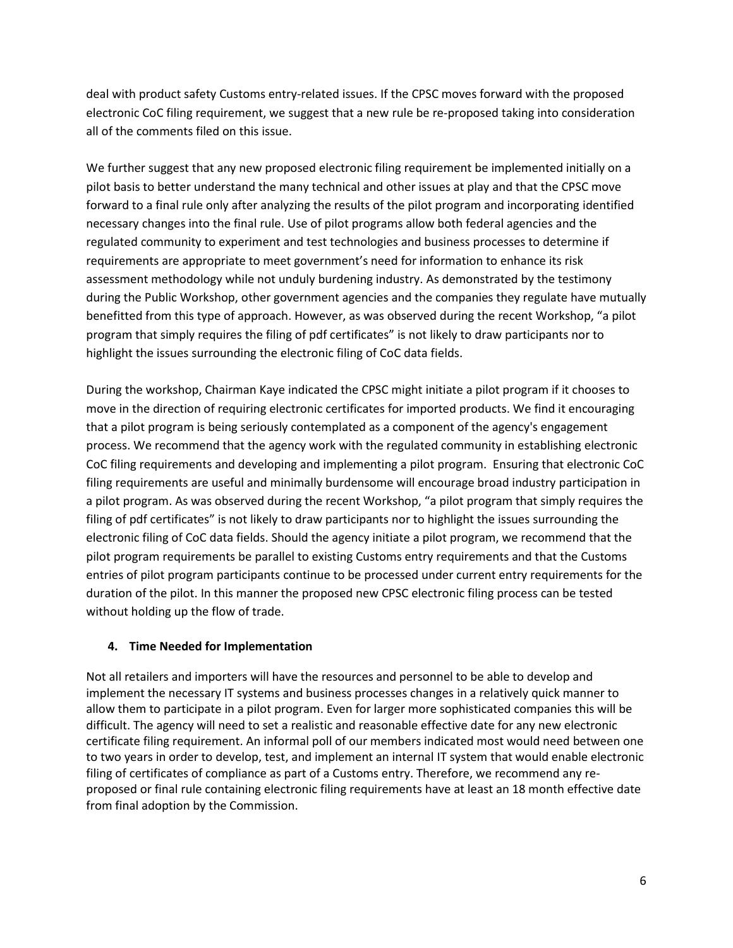deal with product safety Customs entry-related issues. If the CPSC moves forward with the proposed electronic CoC filing requirement, we suggest that a new rule be re-proposed taking into consideration all of the comments filed on this issue.

We further suggest that any new proposed electronic filing requirement be implemented initially on a pilot basis to better understand the many technical and other issues at play and that the CPSC move forward to a final rule only after analyzing the results of the pilot program and incorporating identified necessary changes into the final rule. Use of pilot programs allow both federal agencies and the regulated community to experiment and test technologies and business processes to determine if requirements are appropriate to meet government's need for information to enhance its risk assessment methodology while not unduly burdening industry. As demonstrated by the testimony during the Public Workshop, other government agencies and the companies they regulate have mutually benefitted from this type of approach. However, as was observed during the recent Workshop, "a pilot program that simply requires the filing of pdf certificates" is not likely to draw participants nor to highlight the issues surrounding the electronic filing of CoC data fields.

During the workshop, Chairman Kaye indicated the CPSC might initiate a pilot program if it chooses to move in the direction of requiring electronic certificates for imported products. We find it encouraging that a pilot program is being seriously contemplated as a component of the agency's engagement process. We recommend that the agency work with the regulated community in establishing electronic CoC filing requirements and developing and implementing a pilot program. Ensuring that electronic CoC filing requirements are useful and minimally burdensome will encourage broad industry participation in a pilot program. As was observed during the recent Workshop, "a pilot program that simply requires the filing of pdf certificates" is not likely to draw participants nor to highlight the issues surrounding the electronic filing of CoC data fields. Should the agency initiate a pilot program, we recommend that the pilot program requirements be parallel to existing Customs entry requirements and that the Customs entries of pilot program participants continue to be processed under current entry requirements for the duration of the pilot. In this manner the proposed new CPSC electronic filing process can be tested without holding up the flow of trade.

## **4. Time Needed for Implementation**

Not all retailers and importers will have the resources and personnel to be able to develop and implement the necessary IT systems and business processes changes in a relatively quick manner to allow them to participate in a pilot program. Even for larger more sophisticated companies this will be difficult. The agency will need to set a realistic and reasonable effective date for any new electronic certificate filing requirement. An informal poll of our members indicated most would need between one to two years in order to develop, test, and implement an internal IT system that would enable electronic filing of certificates of compliance as part of a Customs entry. Therefore, we recommend any reproposed or final rule containing electronic filing requirements have at least an 18 month effective date from final adoption by the Commission.